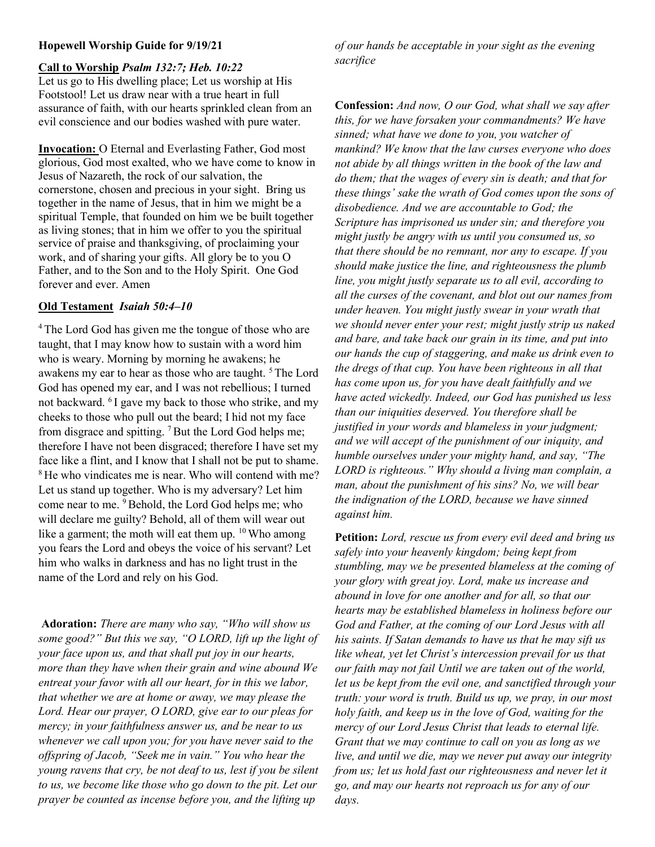## Hopewell Worship Guide for 9/19/21

#### Call to Worship Psalm 132:7; Heb. 10:22

Let us go to His dwelling place; Let us worship at His Footstool! Let us draw near with a true heart in full assurance of faith, with our hearts sprinkled clean from an evil conscience and our bodies washed with pure water.

Invocation: O Eternal and Everlasting Father, God most glorious, God most exalted, who we have come to know in Jesus of Nazareth, the rock of our salvation, the cornerstone, chosen and precious in your sight. Bring us together in the name of Jesus, that in him we might be a spiritual Temple, that founded on him we be built together as living stones; that in him we offer to you the spiritual service of praise and thanksgiving, of proclaiming your work, and of sharing your gifts. All glory be to you O Father, and to the Son and to the Holy Spirit. One God forever and ever. Amen

## Old Testament Isaiah 50:4–10

<sup>4</sup>The Lord God has given me the tongue of those who are taught, that I may know how to sustain with a word him who is weary. Morning by morning he awakens; he awakens my ear to hear as those who are taught. <sup>5</sup>The Lord God has opened my ear, and I was not rebellious; I turned not backward. <sup>6</sup>I gave my back to those who strike, and my cheeks to those who pull out the beard; I hid not my face from disgrace and spitting.  $7$  But the Lord God helps me; therefore I have not been disgraced; therefore I have set my face like a flint, and I know that I shall not be put to shame. <sup>8</sup>He who vindicates me is near. Who will contend with me? Let us stand up together. Who is my adversary? Let him come near to me. <sup>9</sup> Behold, the Lord God helps me; who will declare me guilty? Behold, all of them will wear out like a garment; the moth will eat them up.  $10$  Who among you fears the Lord and obeys the voice of his servant? Let him who walks in darkness and has no light trust in the name of the Lord and rely on his God.

Adoration: There are many who say, "Who will show us some good?" But this we say, "O LORD, lift up the light of your face upon us, and that shall put joy in our hearts, more than they have when their grain and wine abound We entreat your favor with all our heart, for in this we labor, that whether we are at home or away, we may please the Lord. Hear our prayer, O LORD, give ear to our pleas for mercy; in your faithfulness answer us, and be near to us whenever we call upon you; for you have never said to the offspring of Jacob, "Seek me in vain." You who hear the young ravens that cry, be not deaf to us, lest if you be silent to us, we become like those who go down to the pit. Let our prayer be counted as incense before you, and the lifting up

of our hands be acceptable in your sight as the evening sacrifice

Confession: And now, O our God, what shall we say after this, for we have forsaken your commandments? We have sinned; what have we done to you, you watcher of mankind? We know that the law curses everyone who does not abide by all things written in the book of the law and do them; that the wages of every sin is death; and that for these things' sake the wrath of God comes upon the sons of disobedience. And we are accountable to God; the Scripture has imprisoned us under sin; and therefore you might justly be angry with us until you consumed us, so that there should be no remnant, nor any to escape. If you should make justice the line, and righteousness the plumb line, you might justly separate us to all evil, according to all the curses of the covenant, and blot out our names from under heaven. You might justly swear in your wrath that we should never enter your rest; might justly strip us naked and bare, and take back our grain in its time, and put into our hands the cup of staggering, and make us drink even to the dregs of that cup. You have been righteous in all that has come upon us, for you have dealt faithfully and we have acted wickedly. Indeed, our God has punished us less than our iniquities deserved. You therefore shall be justified in your words and blameless in your judgment; and we will accept of the punishment of our iniquity, and humble ourselves under your mighty hand, and say, "The LORD is righteous." Why should a living man complain, a man, about the punishment of his sins? No, we will bear the indignation of the LORD, because we have sinned against him.

Petition: Lord, rescue us from every evil deed and bring us safely into your heavenly kingdom; being kept from stumbling, may we be presented blameless at the coming of your glory with great joy. Lord, make us increase and abound in love for one another and for all, so that our hearts may be established blameless in holiness before our God and Father, at the coming of our Lord Jesus with all his saints. If Satan demands to have us that he may sift us like wheat, yet let Christ's intercession prevail for us that our faith may not fail Until we are taken out of the world, let us be kept from the evil one, and sanctified through your truth: your word is truth. Build us up, we pray, in our most holy faith, and keep us in the love of God, waiting for the mercy of our Lord Jesus Christ that leads to eternal life. Grant that we may continue to call on you as long as we live, and until we die, may we never put away our integrity from us; let us hold fast our righteousness and never let it go, and may our hearts not reproach us for any of our days.